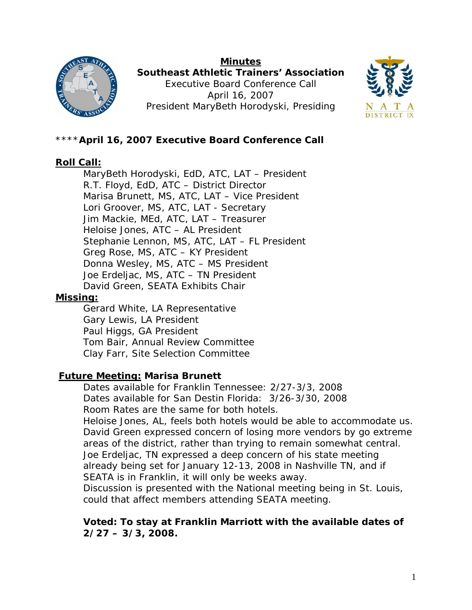

**Minutes Southeast Athletic Trainers' Association**  Executive Board Conference Call April 16, 2007 President MaryBeth Horodyski, Presiding



## \*\*\*\***April 16, 2007 Executive Board Conference Call**

### **Roll Call:**

 MaryBeth Horodyski, EdD, ATC, LAT – President R.T. Floyd, EdD, ATC – District Director Marisa Brunett, MS, ATC, LAT – Vice President Lori Groover, MS, ATC, LAT - Secretary Jim Mackie, MEd, ATC, LAT – Treasurer Heloise Jones, ATC – AL President Stephanie Lennon, MS, ATC, LAT – FL President Greg Rose, MS, ATC – KY President Donna Wesley, MS, ATC – MS President Joe Erdeljac, MS, ATC – TN President David Green, SEATA Exhibits Chair

#### **Missing:**

Gerard White, LA Representative Gary Lewis, LA President Paul Higgs, GA President Tom Bair, Annual Review Committee Clay Farr, Site Selection Committee

### **Future Meeting: Marisa Brunett**

Dates available for Franklin Tennessee: 2/27-3/3, 2008 Dates available for San Destin Florida: 3/26-3/30, 2008 Room Rates are the same for both hotels. Heloise Jones, AL, feels both hotels would be able to accommodate us. David Green expressed concern of losing more vendors by go extreme areas of the district, rather than trying to remain somewhat central. Joe Erdeljac, TN expressed a deep concern of his state meeting already being set for January 12-13, 2008 in Nashville TN, and if SEATA is in Franklin, it will only be weeks away. Discussion is presented with the National meeting being in St. Louis, could that affect members attending SEATA meeting.

### **Voted: To stay at Franklin Marriott with the available dates of 2/27 – 3/3, 2008.**